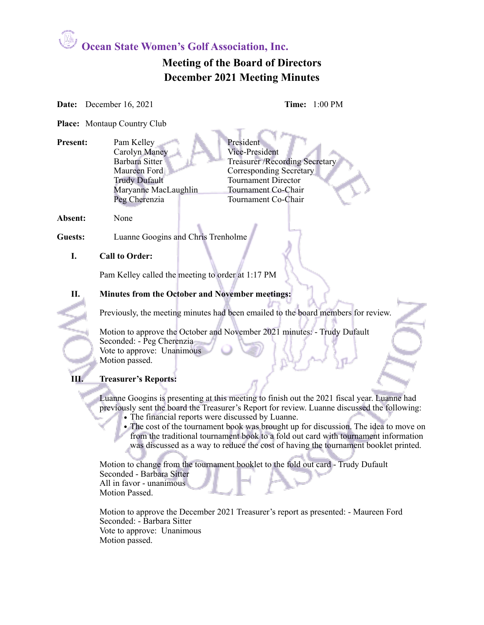**Ocean State Women's Golf Association, Inc.**

# **Meeting of the Board of Directors December 2021 Meeting Minutes**

**Date:** December 16, 2021 **Time:** 1:00 PM

**Place:** Montaup Country Club

**Present:** Pam Kelley President<br>
President Vice-President<br>
Vice-President Carolyn Maney<br>Barbara Sitter Barbara Sitter Treasurer /Recording Secretary<br>Maureen Ford Corresponding Secretary Corresponding Secretary Trudy Dufault Tournament Director Maryanne MacLaughlin Tournament Co-Chair Peg Cherenzia Tournament Co-Chair

**Absent:** None

**Guests:** Luanne Googins and Chris Trenholme

#### **I. Call to Order:**

Pam Kelley called the meeting to order at 1:17 PM

**II. Minutes from the October and November meetings:** 

Previously, the meeting minutes had been emailed to the board members for review.

Motion to approve the October and November 2021 minutes: - Trudy Dufault Seconded: - Peg Cherenzia Vote to approve: Unanimous Motion passed.

## **III. Treasurer's Reports:**

Luanne Googins is presenting at this meeting to finish out the 2021 fiscal year. Luanne had previously sent the board the Treasurer's Report for review. Luanne discussed the following:

- The financial reports were discussed by Luanne.
- The cost of the tournament book was brought up for discussion. The idea to move on from the traditional tournament book to a fold out card with tournament information was discussed as a way to reduce the cost of having the tournament booklet printed.

Motion to change from the tournament booklet to the fold out card - Trudy Dufault Seconded - Barbara Sitter All in favor - unanimous Motion Passed.

Motion to approve the December 2021 Treasurer's report as presented: - Maureen Ford Seconded: - Barbara Sitter Vote to approve: Unanimous Motion passed.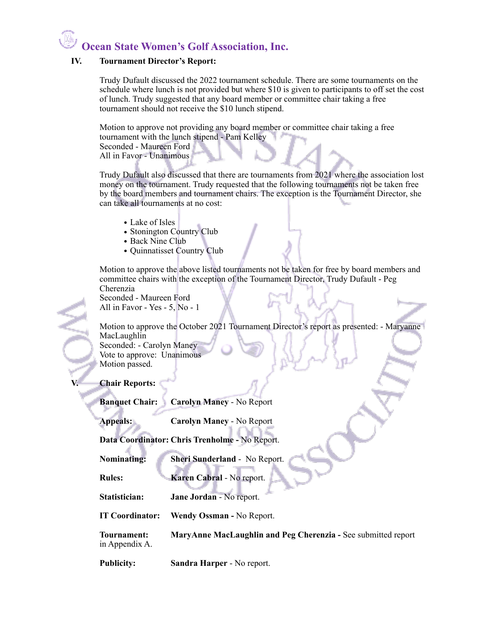# **Ocean State Women's Golf Association, Inc.**

#### **IV. Tournament Director's Report:**

Trudy Dufault discussed the 2022 tournament schedule. There are some tournaments on the schedule where lunch is not provided but where \$10 is given to participants to off set the cost of lunch. Trudy suggested that any board member or committee chair taking a free tournament should not receive the \$10 lunch stipend.

Motion to approve not providing any board member or committee chair taking a free tournament with the lunch stipend - Pam Kelley Seconded - Maureen Ford

All in Favor - Unanimous

Trudy Dufault also discussed that there are tournaments from 2021 where the association lost money on the tournament. Trudy requested that the following tournaments not be taken free by the board members and tournament chairs. The exception is the Tournament Director, she can take all tournaments at no cost:

- Lake of Isles
- Stonington Country Club
- Back Nine Club
- Quinnatisset Country Club

Motion to approve the above listed tournaments not be taken for free by board members and committee chairs with the exception of the Tournament Director, Trudy Dufault - Peg Cherenzia Seconded - Maureen Ford

All in Favor - Yes - 5, No - 1

Motion to approve the October 2021 Tournament Director's report as presented: - Maryanne MacLaughlin Seconded: - Carolyn Maney Vote to approve: Unanimous

Motion passed.

#### **V. Chair Reports:**

**Banquet Chair: Carolyn Maney** - No Report

**Appeals: Carolyn Maney** - No Report

**Data Coordinator: Chris Trenholme -** No Report.

**Nominating: Sheri Sunderland** - No Report.

**Rules: Karen Cabral - No report.** 

**Statistician: Jane Jordan** - No report.

**IT Coordinator: Wendy Ossman -** No Report.

**Tournament: MaryAnne MacLaughlin and Peg Cherenzia -** See submitted report in Appendix A.

**Publicity: Sandra Harper** - No report.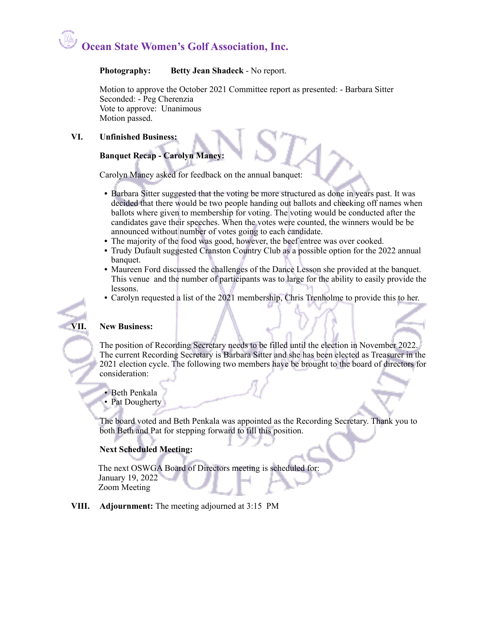# **Ocean State Women's Golf Association, Inc.**

#### **Photography: Betty Jean Shadeck** - No report.

Motion to approve the October 2021 Committee report as presented: - Barbara Sitter Seconded: - Peg Cherenzia Vote to approve: Unanimous Motion passed.

#### **VI. Unfinished Business:**

## **Banquet Recap - Carolyn Maney:**

Carolyn Maney asked for feedback on the annual banquet:

- **•** Barbara Sitter suggested that the voting be more structured as done in years past. It was decided that there would be two people handing out ballots and checking off names when ballots where given to membership for voting. The voting would be conducted after the candidates gave their speeches. When the votes were counted, the winners would be be announced without number of votes going to each candidate.
- **•** The majority of the food was good, however, the beef entree was over cooked.
- **•** Trudy Dufault suggested Cranston Country Club as a possible option for the 2022 annual banquet.
- **•** Maureen Ford discussed the challenges of the Dance Lesson she provided at the banquet. This venue and the number of participants was to large for the ability to easily provide the lessons.
- **•** Carolyn requested a list of the 2021 membership, Chris Trenholme to provide this to her.

#### **VII. New Business:**

The position of Recording Secretary needs to be filled until the election in November 2022. The current Recording Secretary is Barbara Sitter and she has been elected as Treasurer in the 2021 election cycle. The following two members have be brought to the board of directors for consideration:

- Beth Penkala
- Pat Dougherty

The board voted and Beth Penkala was appointed as the Recording Secretary. Thank you to both Beth and Pat for stepping forward to fill this position.

## **Next Scheduled Meeting:**

 The next OSWGA Board of Directors meeting is scheduled for: January 19, 2022 Zoom Meeting

#### **VIII. Adjournment:** The meeting adjourned at 3:15 PM